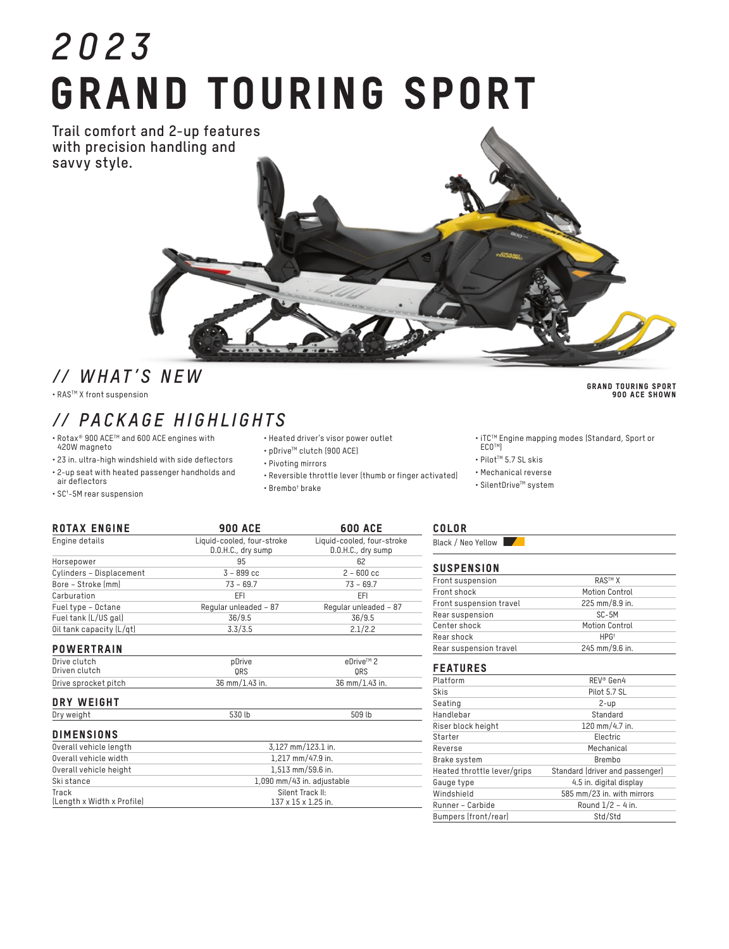# *2023* GRAND TOURING SPORT

**Trail comfort and 2-up features with precision handling and savvy style.**



• RASTM X front suspension

## *// PACKAGE HIGHLIGHTS*

Engine details Liquid-cooled, four-stroke

- Rotax® 900 ACETM and 600 ACE engines with 420W magneto
- 23 in. ultra-high windshield with side deflectors • 2-up seat with heated passenger handholds and
- air deflectors • SC† -5M rear suspension
- Heated driver's visor power outlet
- pDriveTM clutch (900 ACE)
- Pivoting mirrors
- Reversible throttle lever (thumb or finger activated)

Liquid-cooled, four-stroke

• Brembo† brake

#### COLOR

Black / Neo Yellow

#### **SUSPENSION**

| Front suspension        | <b>RAS™ X</b>         |  |
|-------------------------|-----------------------|--|
| Front shock             | Motion Control        |  |
| Front suspension travel | 225 mm/8.9 in.        |  |
| Rear suspension         | SC-5M                 |  |
| Center shock            | <b>Motion Control</b> |  |
| Rear shock              | HPG <sup>+</sup>      |  |
| Rear suspension travel  | 245 mm/9.6 in.        |  |

#### FEATURES

| Platform                    | REV <sup>®</sup> Gen4           |  |
|-----------------------------|---------------------------------|--|
| Skis                        | Pilot 5.7 SL                    |  |
| Seating                     | $2$ -up                         |  |
| Handlebar                   | Standard                        |  |
| Riser block height          | 120 mm/4.7 in.                  |  |
| Starter                     | Electric                        |  |
| Reverse                     | Mechanical                      |  |
| Brake system                | Brembo                          |  |
| Heated throttle lever/grips | Standard (driver and passenger) |  |
| Gauge type                  | 4.5 in. digital display         |  |
| Windshield                  | 585 mm/23 in. with mirrors      |  |
| Runner - Carbide            | Round $1/2 - 4$ in.             |  |
| Bumpers (front/rear)        | Std/Std                         |  |

#### GRAND TOURING SPORT 900 ACE SHOWN

• iTC™ Engine mapping modes (Standard, Sport or<br>| ECO™)

- Pilot™ 5.7 SL skis
- Mechanical reverse
- SilentDrive™ system

|                          | D.O.H.C., dry sump                                      | D.O.H.C., dry sump    |  |
|--------------------------|---------------------------------------------------------|-----------------------|--|
| Horsepower               | 95                                                      | 62                    |  |
| Cylinders - Displacement | $3 - 899$ cc                                            | $2 - 600$ cc          |  |
| Bore - Stroke (mm)       | $73 - 69.7$                                             | $73 - 69.7$           |  |
| Carburation              | EFI                                                     | EFI                   |  |
| Fuel type - Octane       | Regular unleaded - 87                                   | Regular unleaded - 87 |  |
| Fuel tank (L/US gal)     | 36/9.5                                                  | 36/9.5                |  |
| Oil tank capacity (L/qt) | 3.3/3.5                                                 | 2.1/2.2               |  |
| <b>POWERTRAIN</b>        |                                                         |                       |  |
| Drive clutch             | pDrive                                                  | eDrive™ 2             |  |
| Driven clutch            | ORS                                                     | ORS                   |  |
| Drive sprocket pitch     | 36 mm/1.43 in.                                          | 36 mm/1.43 in.        |  |
| DRY WEIGHT               |                                                         |                       |  |
| Dry weight               | 530 lb                                                  | 509 lb                |  |
| <b>DIMENSIONS</b>        |                                                         |                       |  |
| Overall vehicle length   | 3.127 mm/123.1 in.                                      |                       |  |
| Overall vehicle width    | 1,217 mm/47.9 in.                                       |                       |  |
| Overall vehicle height   | 1.513 mm/59.6 in.                                       |                       |  |
| Ski stance               | 1,090 mm/43 in. adjustable                              |                       |  |
|                          | $\sim$ $\sim$ $\sim$ $\sim$ $\sim$ $\sim$ $\sim$ $\sim$ |                       |  |

ROTAX ENGINE 900 ACE 600 ACE

| Overall vehicle length     | 3,127 mm/123.1 in.              |  |
|----------------------------|---------------------------------|--|
| Overall vehicle width      | 1.217 mm/47.9 in.               |  |
| Overall vehicle height     | 1,513 mm/59.6 in.               |  |
| Ski stance                 | 1,090 mm/43 in. adjustable      |  |
| Track                      | Silent Track II:                |  |
| (Length x Width x Profile) | $137 \times 15 \times 1.25$ in. |  |
|                            |                                 |  |